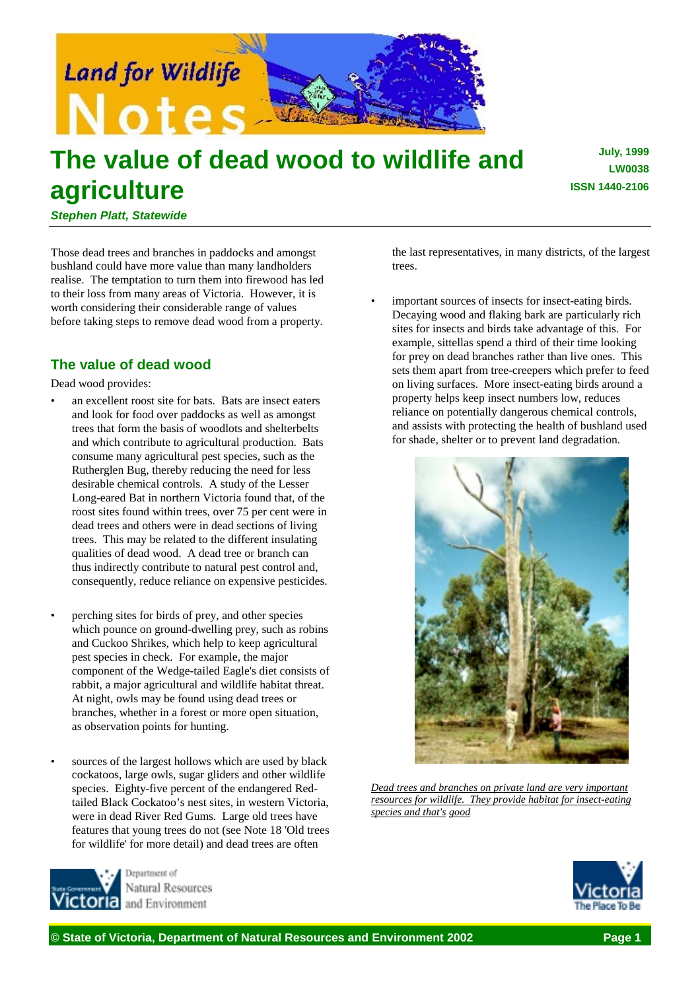

# **The value of dead wood to wildlife and agriculture**

**July, 1999 LW0038 ISSN 1440-2106**

*Stephen Platt, Statewide*

Those dead trees and branches in paddocks and amongst bushland could have more value than many landholders realise. The temptation to turn them into firewood has led to their loss from many areas of Victoria. However, it is worth considering their considerable range of values before taking steps to remove dead wood from a property.

# **The value of dead wood**

Dead wood provides:

- an excellent roost site for bats. Bats are insect eaters and look for food over paddocks as well as amongst trees that form the basis of woodlots and shelterbelts and which contribute to agricultural production. Bats consume many agricultural pest species, such as the Rutherglen Bug, thereby reducing the need for less desirable chemical controls. A study of the Lesser Long-eared Bat in northern Victoria found that, of the roost sites found within trees, over 75 per cent were in dead trees and others were in dead sections of living trees. This may be related to the different insulating qualities of dead wood. A dead tree or branch can thus indirectly contribute to natural pest control and, consequently, reduce reliance on expensive pesticides.
- perching sites for birds of prey, and other species which pounce on ground-dwelling prey, such as robins and Cuckoo Shrikes, which help to keep agricultural pest species in check. For example, the major component of the Wedge-tailed Eagle's diet consists of rabbit, a major agricultural and wildlife habitat threat. At night, owls may be found using dead trees or branches, whether in a forest or more open situation, as observation points for hunting.
- sources of the largest hollows which are used by black cockatoos, large owls, sugar gliders and other wildlife species. Eighty-five percent of the endangered Redtailed Black Cockatoo's nest sites, in western Victoria, were in dead River Red Gums. Large old trees have features that young trees do not (see Note 18 'Old trees for wildlife' for more detail) and dead trees are often



Natural Resources and Environment

the last representatives, in many districts, of the largest trees.

important sources of insects for insect-eating birds. Decaying wood and flaking bark are particularly rich sites for insects and birds take advantage of this. For example, sittellas spend a third of their time looking for prey on dead branches rather than live ones. This sets them apart from tree-creepers which prefer to feed on living surfaces. More insect-eating birds around a property helps keep insect numbers low, reduces reliance on potentially dangerous chemical controls, and assists with protecting the health of bushland used for shade, shelter or to prevent land degradation.



*Dead trees and branches on private land are very important resources for wildlife. They provide habitat for insect-eating species and that's good*

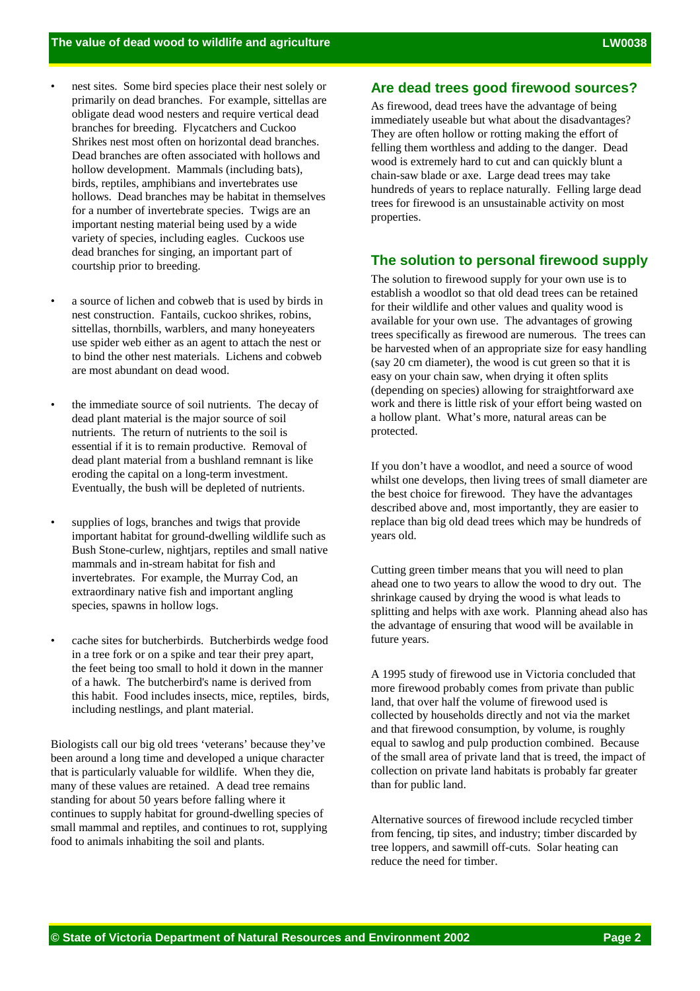- nest sites. Some bird species place their nest solely or primarily on dead branches. For example, sittellas are obligate dead wood nesters and require vertical dead branches for breeding. Flycatchers and Cuckoo Shrikes nest most often on horizontal dead branches. Dead branches are often associated with hollows and hollow development. Mammals (including bats), birds, reptiles, amphibians and invertebrates use hollows. Dead branches may be habitat in themselves for a number of invertebrate species. Twigs are an important nesting material being used by a wide variety of species, including eagles. Cuckoos use dead branches for singing, an important part of courtship prior to breeding.
- a source of lichen and cobweb that is used by birds in nest construction. Fantails, cuckoo shrikes, robins, sittellas, thornbills, warblers, and many honeyeaters use spider web either as an agent to attach the nest or to bind the other nest materials. Lichens and cobweb are most abundant on dead wood.
- the immediate source of soil nutrients. The decay of dead plant material is the major source of soil nutrients. The return of nutrients to the soil is essential if it is to remain productive. Removal of dead plant material from a bushland remnant is like eroding the capital on a long-term investment. Eventually, the bush will be depleted of nutrients.
- supplies of logs, branches and twigs that provide important habitat for ground-dwelling wildlife such as Bush Stone-curlew, nightjars, reptiles and small native mammals and in-stream habitat for fish and invertebrates. For example, the Murray Cod, an extraordinary native fish and important angling species, spawns in hollow logs.
- cache sites for butcherbirds. Butcherbirds wedge food in a tree fork or on a spike and tear their prey apart, the feet being too small to hold it down in the manner of a hawk. The butcherbird's name is derived from this habit. Food includes insects, mice, reptiles, birds, including nestlings, and plant material.

Biologists call our big old trees 'veterans' because they've been around a long time and developed a unique character that is particularly valuable for wildlife. When they die, many of these values are retained. A dead tree remains standing for about 50 years before falling where it continues to supply habitat for ground-dwelling species of small mammal and reptiles, and continues to rot, supplying food to animals inhabiting the soil and plants.

## **Are dead trees good firewood sources?**

As firewood, dead trees have the advantage of being immediately useable but what about the disadvantages? They are often hollow or rotting making the effort of felling them worthless and adding to the danger. Dead wood is extremely hard to cut and can quickly blunt a chain-saw blade or axe. Large dead trees may take hundreds of years to replace naturally. Felling large dead trees for firewood is an unsustainable activity on most properties.

#### **The solution to personal firewood supply**

The solution to firewood supply for your own use is to establish a woodlot so that old dead trees can be retained for their wildlife and other values and quality wood is available for your own use. The advantages of growing trees specifically as firewood are numerous. The trees can be harvested when of an appropriate size for easy handling (say 20 cm diameter), the wood is cut green so that it is easy on your chain saw, when drying it often splits (depending on species) allowing for straightforward axe work and there is little risk of your effort being wasted on a hollow plant. What's more, natural areas can be protected.

If you don't have a woodlot, and need a source of wood whilst one develops, then living trees of small diameter are the best choice for firewood. They have the advantages described above and, most importantly, they are easier to replace than big old dead trees which may be hundreds of years old.

Cutting green timber means that you will need to plan ahead one to two years to allow the wood to dry out. The shrinkage caused by drying the wood is what leads to splitting and helps with axe work. Planning ahead also has the advantage of ensuring that wood will be available in future years.

A 1995 study of firewood use in Victoria concluded that more firewood probably comes from private than public land, that over half the volume of firewood used is collected by households directly and not via the market and that firewood consumption, by volume, is roughly equal to sawlog and pulp production combined. Because of the small area of private land that is treed, the impact of collection on private land habitats is probably far greater than for public land.

Alternative sources of firewood include recycled timber from fencing, tip sites, and industry; timber discarded by tree loppers, and sawmill off-cuts. Solar heating can reduce the need for timber.